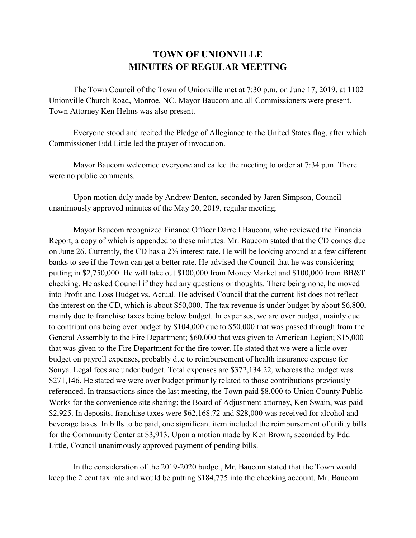## **TOWN OF UNIONVILLE MINUTES OF REGULAR MEETING**

The Town Council of the Town of Unionville met at 7:30 p.m. on June 17, 2019, at 1102 Unionville Church Road, Monroe, NC. Mayor Baucom and all Commissioners were present. Town Attorney Ken Helms was also present.

Everyone stood and recited the Pledge of Allegiance to the United States flag, after which Commissioner Edd Little led the prayer of invocation.

Mayor Baucom welcomed everyone and called the meeting to order at 7:34 p.m. There were no public comments.

Upon motion duly made by Andrew Benton, seconded by Jaren Simpson, Council unanimously approved minutes of the May 20, 2019, regular meeting.

Mayor Baucom recognized Finance Officer Darrell Baucom, who reviewed the Financial Report, a copy of which is appended to these minutes. Mr. Baucom stated that the CD comes due on June 26. Currently, the CD has a 2% interest rate. He will be looking around at a few different banks to see if the Town can get a better rate. He advised the Council that he was considering putting in \$2,750,000. He will take out \$100,000 from Money Market and \$100,000 from BB&T checking. He asked Council if they had any questions or thoughts. There being none, he moved into Profit and Loss Budget vs. Actual. He advised Council that the current list does not reflect the interest on the CD, which is about \$50,000. The tax revenue is under budget by about \$6,800, mainly due to franchise taxes being below budget. In expenses, we are over budget, mainly due to contributions being over budget by \$104,000 due to \$50,000 that was passed through from the General Assembly to the Fire Department; \$60,000 that was given to American Legion; \$15,000 that was given to the Fire Department for the fire tower. He stated that we were a little over budget on payroll expenses, probably due to reimbursement of health insurance expense for Sonya. Legal fees are under budget. Total expenses are \$372,134.22, whereas the budget was \$271,146. He stated we were over budget primarily related to those contributions previously referenced. In transactions since the last meeting, the Town paid \$8,000 to Union County Public Works for the convenience site sharing; the Board of Adjustment attorney, Ken Swain, was paid \$2,925. In deposits, franchise taxes were \$62,168.72 and \$28,000 was received for alcohol and beverage taxes. In bills to be paid, one significant item included the reimbursement of utility bills for the Community Center at \$3,913. Upon a motion made by Ken Brown, seconded by Edd Little, Council unanimously approved payment of pending bills.

In the consideration of the 2019-2020 budget, Mr. Baucom stated that the Town would keep the 2 cent tax rate and would be putting \$184,775 into the checking account. Mr. Baucom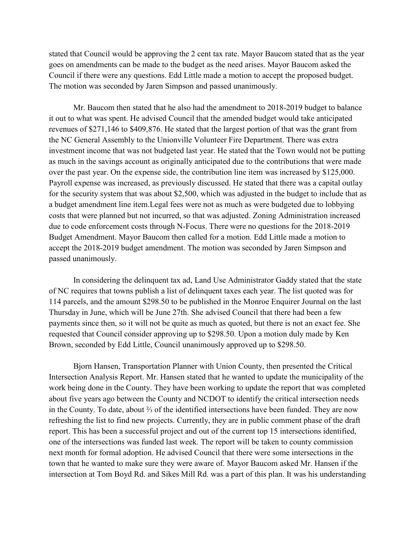stated that Council would be approving the 2 cent tax rate. Mayor Baucom stated that as the year goes on amendments can be made to the budget as the need arises. Mayor Baucom asked the Council if there were any questions. Edd Little made a motion to accept the proposed budget. The motion was seconded by Jaren Simpson and passed unanimously.

Mr. Baucom then stated that he also had the amendment to 2018-2019 budget to balance it out to what was spent. He advised Council that the amended budget would take anticipated revenues of \$271,146 to \$409,876. He stated that the largest portion of that was the grant from the NC General Assembly to the Unionville Volunteer Fire Department. There was extra investment income that was not budgeted last year. He stated that the Town would not be putting as much in the savings account as originally anticipated due to the contributions that were made over the past year. On the expense side, the contribution line item was increased by \$125,000. Payroll expense was increased, as previously discussed. He stated that there was a capital outlay for the security system that was about \$2,500, which was adjusted in the budget to include that as a budget amendment line item.Legal fees were not as much as were budgeted due to lobbying costs that were planned but not incurred, so that was adjusted. Zoning Administration increased due to code enforcement costs through N-Focus. There were no questions for the 2018-2019 Budget Amendment. Mayor Baucom then called for a motion. Edd Little made a motion to accept the 2018-2019 budget amendment. The motion was seconded by Jaren Simpson and passed unanimously.

In considering the delinquent tax ad, Land Use Administrator Gaddy stated that the state of NC requires that towns publish a list of delinquent taxes each year. The list quoted was for 114 parcels, and the amount \$298.50 to be published in the Monroe Enquirer Journal on the last Thursday in June, which will be June 27th. She advised Council that there had been a few payments since then, so it will not be quite as much as quoted, but there is not an exact fee. She requested that Council consider approving up to \$298.50. Upon a motion duly made by Ken Brown, seconded by Edd Little, Council unanimously approved up to \$298.50.

Bjorn Hansen, Transportation Planner with Union County, then presented the Critical Intersection Analysis Report. Mr. Hansen stated that he wanted to update the municipality of the work being done in the County. They have been working to update the report that was completed about five years ago between the County and NCDOT to identify the critical intersection needs in the County. To date, about ⅔ of the identified intersections have been funded. They are now refreshing the list to find new projects. Currently, they are in public comment phase of the draft report. This has been a successful project and out of the current top 15 intersections identified, one of the intersections was funded last week. The report will be taken to county commission next month for formal adoption. He advised Council that there were some intersections in the town that he wanted to make sure they were aware of. Mayor Baucom asked Mr. Hansen if the intersection at Tom Boyd Rd. and Sikes Mill Rd. was a part of this plan. It was his understanding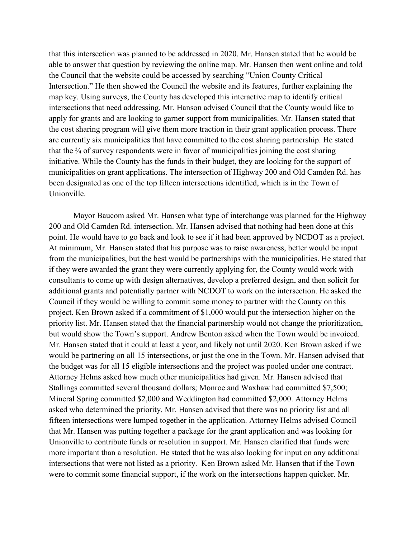that this intersection was planned to be addressed in 2020. Mr. Hansen stated that he would be able to answer that question by reviewing the online map. Mr. Hansen then went online and told the Council that the website could be accessed by searching "Union County Critical Intersection." He then showed the Council the website and its features, further explaining the map key. Using surveys, the County has developed this interactive map to identify critical intersections that need addressing. Mr. Hanson advised Council that the County would like to apply for grants and are looking to garner support from municipalities. Mr. Hansen stated that the cost sharing program will give them more traction in their grant application process. There are currently six municipalities that have committed to the cost sharing partnership. He stated that the  $\frac{3}{4}$  of survey respondents were in favor of municipalities joining the cost sharing initiative. While the County has the funds in their budget, they are looking for the support of municipalities on grant applications. The intersection of Highway 200 and Old Camden Rd. has been designated as one of the top fifteen intersections identified, which is in the Town of Unionville.

Mayor Baucom asked Mr. Hansen what type of interchange was planned for the Highway 200 and Old Camden Rd. intersection. Mr. Hansen advised that nothing had been done at this point. He would have to go back and look to see if it had been approved by NCDOT as a project. At minimum, Mr. Hansen stated that his purpose was to raise awareness, better would be input from the municipalities, but the best would be partnerships with the municipalities. He stated that if they were awarded the grant they were currently applying for, the County would work with consultants to come up with design alternatives, develop a preferred design, and then solicit for additional grants and potentially partner with NCDOT to work on the intersection. He asked the Council if they would be willing to commit some money to partner with the County on this project. Ken Brown asked if a commitment of \$1,000 would put the intersection higher on the priority list. Mr. Hansen stated that the financial partnership would not change the prioritization, but would show the Town's support. Andrew Benton asked when the Town would be invoiced. Mr. Hansen stated that it could at least a year, and likely not until 2020. Ken Brown asked if we would be partnering on all 15 intersections, or just the one in the Town. Mr. Hansen advised that the budget was for all 15 eligible intersections and the project was pooled under one contract. Attorney Helms asked how much other municipalities had given. Mr. Hansen advised that Stallings committed several thousand dollars; Monroe and Waxhaw had committed \$7,500; Mineral Spring committed \$2,000 and Weddington had committed \$2,000. Attorney Helms asked who determined the priority. Mr. Hansen advised that there was no priority list and all fifteen intersections were lumped together in the application. Attorney Helms advised Council that Mr. Hansen was putting together a package for the grant application and was looking for Unionville to contribute funds or resolution in support. Mr. Hansen clarified that funds were more important than a resolution. He stated that he was also looking for input on any additional intersections that were not listed as a priority. Ken Brown asked Mr. Hansen that if the Town were to commit some financial support, if the work on the intersections happen quicker. Mr.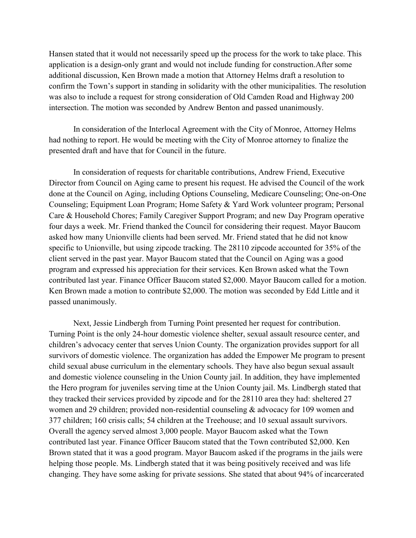Hansen stated that it would not necessarily speed up the process for the work to take place. This application is a design-only grant and would not include funding for construction.After some additional discussion, Ken Brown made a motion that Attorney Helms draft a resolution to confirm the Town's support in standing in solidarity with the other municipalities. The resolution was also to include a request for strong consideration of Old Camden Road and Highway 200 intersection. The motion was seconded by Andrew Benton and passed unanimously.

In consideration of the Interlocal Agreement with the City of Monroe, Attorney Helms had nothing to report. He would be meeting with the City of Monroe attorney to finalize the presented draft and have that for Council in the future.

In consideration of requests for charitable contributions, Andrew Friend, Executive Director from Council on Aging came to present his request. He advised the Council of the work done at the Council on Aging, including Options Counseling, Medicare Counseling; One-on-One Counseling; Equipment Loan Program; Home Safety & Yard Work volunteer program; Personal Care & Household Chores; Family Caregiver Support Program; and new Day Program operative four days a week. Mr. Friend thanked the Council for considering their request. Mayor Baucom asked how many Unionville clients had been served. Mr. Friend stated that he did not know specific to Unionville, but using zipcode tracking. The 28110 zipcode accounted for 35% of the client served in the past year. Mayor Baucom stated that the Council on Aging was a good program and expressed his appreciation for their services. Ken Brown asked what the Town contributed last year. Finance Officer Baucom stated \$2,000. Mayor Baucom called for a motion. Ken Brown made a motion to contribute \$2,000. The motion was seconded by Edd Little and it passed unanimously.

Next, Jessie Lindbergh from Turning Point presented her request for contribution. Turning Point is the only 24-hour domestic violence shelter, sexual assault resource center, and children's advocacy center that serves Union County. The organization provides support for all survivors of domestic violence. The organization has added the Empower Me program to present child sexual abuse curriculum in the elementary schools. They have also begun sexual assault and domestic violence counseling in the Union County jail. In addition, they have implemented the Hero program for juveniles serving time at the Union County jail. Ms. Lindbergh stated that they tracked their services provided by zipcode and for the 28110 area they had: sheltered 27 women and 29 children; provided non-residential counseling & advocacy for 109 women and 377 children; 160 crisis calls; 54 children at the Treehouse; and 10 sexual assault survivors. Overall the agency served almost 3,000 people. Mayor Baucom asked what the Town contributed last year. Finance Officer Baucom stated that the Town contributed \$2,000. Ken Brown stated that it was a good program. Mayor Baucom asked if the programs in the jails were helping those people. Ms. Lindbergh stated that it was being positively received and was life changing. They have some asking for private sessions. She stated that about 94% of incarcerated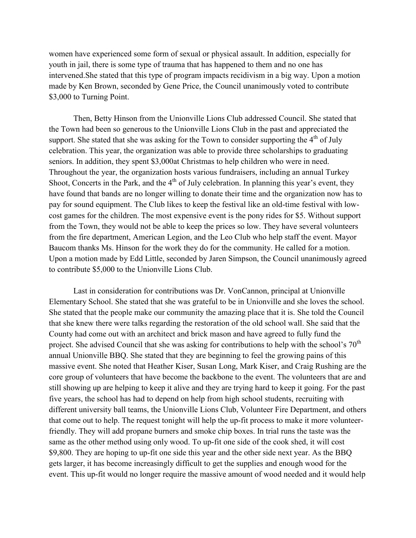women have experienced some form of sexual or physical assault. In addition, especially for youth in jail, there is some type of trauma that has happened to them and no one has intervened.She stated that this type of program impacts recidivism in a big way. Upon a motion made by Ken Brown, seconded by Gene Price, the Council unanimously voted to contribute \$3,000 to Turning Point.

Then, Betty Hinson from the Unionville Lions Club addressed Council. She stated that the Town had been so generous to the Unionville Lions Club in the past and appreciated the support. She stated that she was asking for the Town to consider supporting the  $4<sup>th</sup>$  of July celebration. This year, the organization was able to provide three scholarships to graduating seniors. In addition, they spent \$3,000at Christmas to help children who were in need. Throughout the year, the organization hosts various fundraisers, including an annual Turkey Shoot, Concerts in the Park, and the  $4<sup>th</sup>$  of July celebration. In planning this year's event, they have found that bands are no longer willing to donate their time and the organization now has to pay for sound equipment. The Club likes to keep the festival like an old-time festival with lowcost games for the children. The most expensive event is the pony rides for \$5. Without support from the Town, they would not be able to keep the prices so low. They have several volunteers from the fire department, American Legion, and the Leo Club who help staff the event. Mayor Baucom thanks Ms. Hinson for the work they do for the community. He called for a motion. Upon a motion made by Edd Little, seconded by Jaren Simpson, the Council unanimously agreed to contribute \$5,000 to the Unionville Lions Club.

Last in consideration for contributions was Dr. VonCannon, principal at Unionville Elementary School. She stated that she was grateful to be in Unionville and she loves the school. She stated that the people make our community the amazing place that it is. She told the Council that she knew there were talks regarding the restoration of the old school wall. She said that the County had come out with an architect and brick mason and have agreed to fully fund the project. She advised Council that she was asking for contributions to help with the school's  $70<sup>th</sup>$ annual Unionville BBQ. She stated that they are beginning to feel the growing pains of this massive event. She noted that Heather Kiser, Susan Long, Mark Kiser, and Craig Rushing are the core group of volunteers that have become the backbone to the event. The volunteers that are and still showing up are helping to keep it alive and they are trying hard to keep it going. For the past five years, the school has had to depend on help from high school students, recruiting with different university ball teams, the Unionville Lions Club, Volunteer Fire Department, and others that come out to help. The request tonight will help the up-fit process to make it more volunteerfriendly. They will add propane burners and smoke chip boxes. In trial runs the taste was the same as the other method using only wood. To up-fit one side of the cook shed, it will cost \$9,800. They are hoping to up-fit one side this year and the other side next year. As the BBQ gets larger, it has become increasingly difficult to get the supplies and enough wood for the event. This up-fit would no longer require the massive amount of wood needed and it would help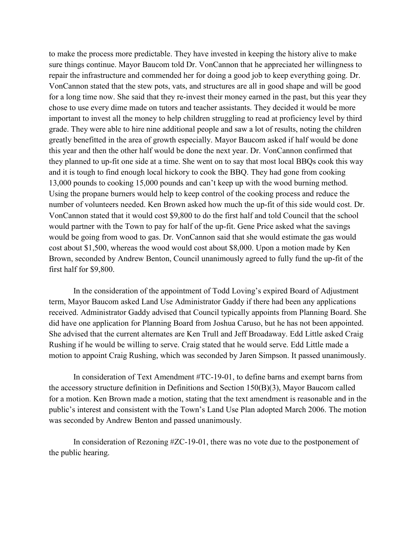to make the process more predictable. They have invested in keeping the history alive to make sure things continue. Mayor Baucom told Dr. VonCannon that he appreciated her willingness to repair the infrastructure and commended her for doing a good job to keep everything going. Dr. VonCannon stated that the stew pots, vats, and structures are all in good shape and will be good for a long time now. She said that they re-invest their money earned in the past, but this year they chose to use every dime made on tutors and teacher assistants. They decided it would be more important to invest all the money to help children struggling to read at proficiency level by third grade. They were able to hire nine additional people and saw a lot of results, noting the children greatly benefitted in the area of growth especially. Mayor Baucom asked if half would be done this year and then the other half would be done the next year. Dr. VonCannon confirmed that they planned to up-fit one side at a time. She went on to say that most local BBQs cook this way and it is tough to find enough local hickory to cook the BBQ. They had gone from cooking 13,000 pounds to cooking 15,000 pounds and can't keep up with the wood burning method. Using the propane burners would help to keep control of the cooking process and reduce the number of volunteers needed. Ken Brown asked how much the up-fit of this side would cost. Dr. VonCannon stated that it would cost \$9,800 to do the first half and told Council that the school would partner with the Town to pay for half of the up-fit. Gene Price asked what the savings would be going from wood to gas. Dr. VonCannon said that she would estimate the gas would cost about \$1,500, whereas the wood would cost about \$8,000. Upon a motion made by Ken Brown, seconded by Andrew Benton, Council unanimously agreed to fully fund the up-fit of the first half for \$9,800.

In the consideration of the appointment of Todd Loving's expired Board of Adjustment term, Mayor Baucom asked Land Use Administrator Gaddy if there had been any applications received. Administrator Gaddy advised that Council typically appoints from Planning Board. She did have one application for Planning Board from Joshua Caruso, but he has not been appointed. She advised that the current alternates are Ken Trull and Jeff Broadaway. Edd Little asked Craig Rushing if he would be willing to serve. Craig stated that he would serve. Edd Little made a motion to appoint Craig Rushing, which was seconded by Jaren Simpson. It passed unanimously.

In consideration of Text Amendment #TC-19-01, to define barns and exempt barns from the accessory structure definition in Definitions and Section 150(B)(3), Mayor Baucom called for a motion. Ken Brown made a motion, stating that the text amendment is reasonable and in the public's interest and consistent with the Town's Land Use Plan adopted March 2006. The motion was seconded by Andrew Benton and passed unanimously.

In consideration of Rezoning #ZC-19-01, there was no vote due to the postponement of the public hearing.